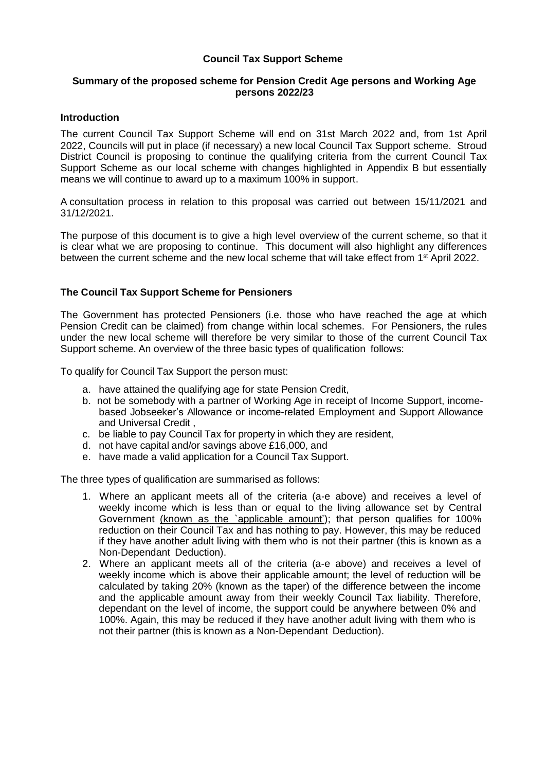# **Council Tax Support Scheme**

# **Summary of the proposed scheme for Pension Credit Age persons and Working Age persons 2022/23**

## **Introduction**

The current Council Tax Support Scheme will end on 31st March 2022 and, from 1st April 2022, Councils will put in place (if necessary) a new local Council Tax Support scheme. Stroud District Council is proposing to continue the qualifying criteria from the current Council Tax Support Scheme as our local scheme with changes highlighted in Appendix B but essentially means we will continue to award up to a maximum 100% in support.

A consultation process in relation to this proposal was carried out between 15/11/2021 and 31/12/2021.

The purpose of this document is to give a high level overview of the current scheme, so that it is clear what we are proposing to continue. This document will also highlight any differences between the current scheme and the new local scheme that will take effect from 1<sup>st</sup> April 2022.

## **The Council Tax Support Scheme for Pensioners**

The Government has protected Pensioners (i.e. those who have reached the age at which Pension Credit can be claimed) from change within local schemes. For Pensioners, the rules under the new local scheme will therefore be very similar to those of the current Council Tax Support scheme. An overview of the three basic types of qualification follows:

To qualify for Council Tax Support the person must:

- a. have attained the qualifying age for state Pension Credit,
- b. not be somebody with a partner of Working Age in receipt of Income Support, incomebased Jobseeker's Allowance or income-related Employment and Support Allowance and Universal Credit ,
- c. be liable to pay Council Tax for property in which they are resident,
- d. not have capital and/or savings above £16,000, and
- e. have made a valid application for a Council Tax Support.

The three types of qualification are summarised as follows:

- 1. Where an applicant meets all of the criteria (a-e above) and receives a level of weekly income which is less than or equal to the living allowance set by Central Government (known as the `applicable amount'); that person qualifies for 100% reduction on their Council Tax and has nothing to pay. However, this may be reduced if they have another adult living with them who is not their partner (this is known as a Non-Dependant Deduction).
- 2. Where an applicant meets all of the criteria (a-e above) and receives a level of weekly income which is above their applicable amount; the level of reduction will be calculated by taking 20% (known as the taper) of the difference between the income and the applicable amount away from their weekly Council Tax liability. Therefore, dependant on the level of income, the support could be anywhere between 0% and 100%. Again, this may be reduced if they have another adult living with them who is not their partner (this is known as a Non-Dependant Deduction).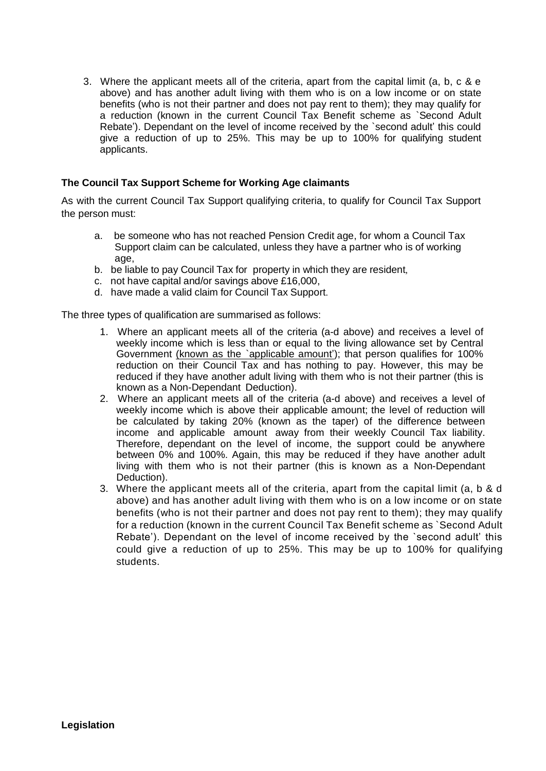3. Where the applicant meets all of the criteria, apart from the capital limit (a, b, c & e above) and has another adult living with them who is on a low income or on state benefits (who is not their partner and does not pay rent to them); they may qualify for a reduction (known in the current Council Tax Benefit scheme as `Second Adult Rebate'). Dependant on the level of income received by the `second adult' this could give a reduction of up to 25%. This may be up to 100% for qualifying student applicants.

# **The Council Tax Support Scheme for Working Age claimants**

As with the current Council Tax Support qualifying criteria, to qualify for Council Tax Support the person must:

- a. be someone who has not reached Pension Credit age, for whom a Council Tax Support claim can be calculated, unless they have a partner who is of working age,
- b. be liable to pay Council Tax for property in which they are resident,
- c. not have capital and/or savings above £16,000,
- d. have made a valid claim for Council Tax Support.

The three types of qualification are summarised as follows:

- 1. Where an applicant meets all of the criteria (a-d above) and receives a level of weekly income which is less than or equal to the living allowance set by Central Government (known as the `applicable amount'); that person qualifies for 100% reduction on their Council Tax and has nothing to pay. However, this may be reduced if they have another adult living with them who is not their partner (this is known as a Non-Dependant Deduction).
- 2. Where an applicant meets all of the criteria (a-d above) and receives a level of weekly income which is above their applicable amount; the level of reduction will be calculated by taking 20% (known as the taper) of the difference between income and applicable amount away from their weekly Council Tax liability. Therefore, dependant on the level of income, the support could be anywhere between 0% and 100%. Again, this may be reduced if they have another adult living with them who is not their partner (this is known as a Non-Dependant Deduction).
- 3. Where the applicant meets all of the criteria, apart from the capital limit (a, b & d above) and has another adult living with them who is on a low income or on state benefits (who is not their partner and does not pay rent to them); they may qualify for a reduction (known in the current Council Tax Benefit scheme as `Second Adult Rebate'). Dependant on the level of income received by the `second adult' this could give a reduction of up to 25%. This may be up to 100% for qualifying students.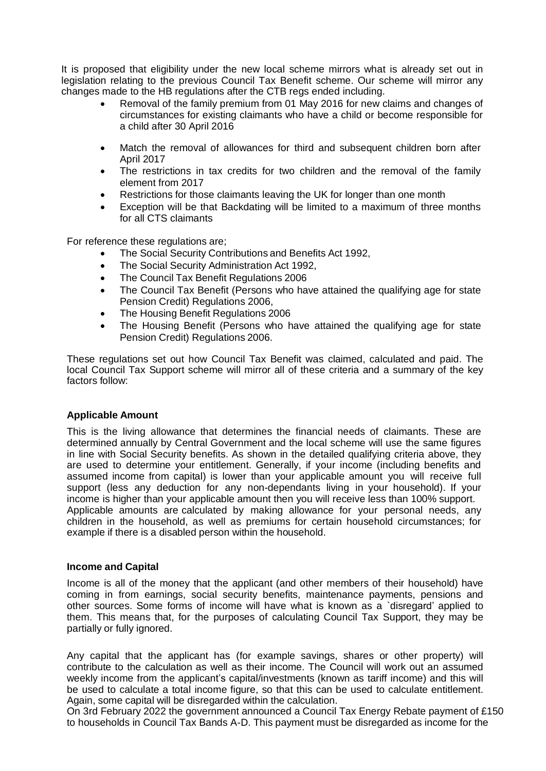It is proposed that eligibility under the new local scheme mirrors what is already set out in legislation relating to the previous Council Tax Benefit scheme. Our scheme will mirror any changes made to the HB regulations after the CTB regs ended including.

- Removal of the family premium from 01 May 2016 for new claims and changes of circumstances for existing claimants who have a child or become responsible for a child after 30 April 2016
- Match the removal of allowances for third and subsequent children born after April 2017
- The restrictions in tax credits for two children and the removal of the family element from 2017
- Restrictions for those claimants leaving the UK for longer than one month
- Exception will be that Backdating will be limited to a maximum of three months for all CTS claimants

For reference these regulations are;

- The Social Security Contributions and Benefits Act 1992,
- The Social Security Administration Act 1992,
- The Council Tax Benefit Regulations 2006
- The Council Tax Benefit (Persons who have attained the qualifying age for state Pension Credit) Regulations 2006,
- The Housing Benefit Regulations 2006
- The Housing Benefit (Persons who have attained the qualifying age for state Pension Credit) Regulations 2006.

These regulations set out how Council Tax Benefit was claimed, calculated and paid. The local Council Tax Support scheme will mirror all of these criteria and a summary of the key factors follow:

### **Applicable Amount**

This is the living allowance that determines the financial needs of claimants. These are determined annually by Central Government and the local scheme will use the same figures in line with Social Security benefits. As shown in the detailed qualifying criteria above, they are used to determine your entitlement. Generally, if your income (including benefits and assumed income from capital) is lower than your applicable amount you will receive full support (less any deduction for any non-dependants living in your household). If your income is higher than your applicable amount then you will receive less than 100% support. Applicable amounts are calculated by making allowance for your personal needs, any children in the household, as well as premiums for certain household circumstances; for example if there is a disabled person within the household.

### **Income and Capital**

Income is all of the money that the applicant (and other members of their household) have coming in from earnings, social security benefits, maintenance payments, pensions and other sources. Some forms of income will have what is known as a `disregard' applied to them. This means that, for the purposes of calculating Council Tax Support, they may be partially or fully ignored.

Any capital that the applicant has (for example savings, shares or other property) will contribute to the calculation as well as their income. The Council will work out an assumed weekly income from the applicant's capital/investments (known as tariff income) and this will be used to calculate a total income figure, so that this can be used to calculate entitlement. Again, some capital will be disregarded within the calculation.

On 3rd February 2022 the government announced a Council Tax Energy Rebate payment of £150 to households in Council Tax Bands A-D. This payment must be disregarded as income for the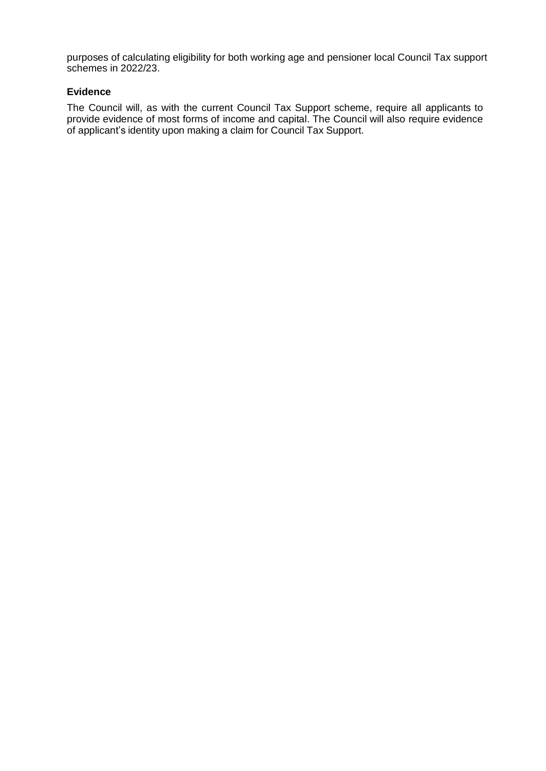purposes of calculating eligibility for both working age and pensioner local Council Tax support schemes in 2022/23.

## **Evidence**

The Council will, as with the current Council Tax Support scheme, require all applicants to provide evidence of most forms of income and capital. The Council will also require evidence of applicant's identity upon making a claim for Council Tax Support.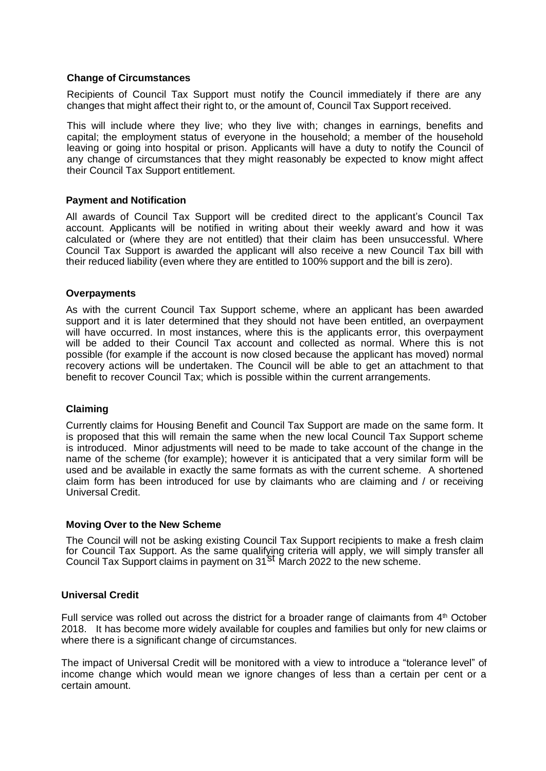## **Change of Circumstances**

Recipients of Council Tax Support must notify the Council immediately if there are any changes that might affect their right to, or the amount of, Council Tax Support received.

This will include where they live; who they live with; changes in earnings, benefits and capital; the employment status of everyone in the household; a member of the household leaving or going into hospital or prison. Applicants will have a duty to notify the Council of any change of circumstances that they might reasonably be expected to know might affect their Council Tax Support entitlement.

## **Payment and Notification**

All awards of Council Tax Support will be credited direct to the applicant's Council Tax account. Applicants will be notified in writing about their weekly award and how it was calculated or (where they are not entitled) that their claim has been unsuccessful. Where Council Tax Support is awarded the applicant will also receive a new Council Tax bill with their reduced liability (even where they are entitled to 100% support and the bill is zero).

### **Overpayments**

As with the current Council Tax Support scheme, where an applicant has been awarded support and it is later determined that they should not have been entitled, an overpayment will have occurred. In most instances, where this is the applicants error, this overpayment will be added to their Council Tax account and collected as normal. Where this is not possible (for example if the account is now closed because the applicant has moved) normal recovery actions will be undertaken. The Council will be able to get an attachment to that benefit to recover Council Tax; which is possible within the current arrangements.

### **Claiming**

Currently claims for Housing Benefit and Council Tax Support are made on the same form. It is proposed that this will remain the same when the new local Council Tax Support scheme is introduced. Minor adjustments will need to be made to take account of the change in the name of the scheme (for example); however it is anticipated that a very similar form will be used and be available in exactly the same formats as with the current scheme. A shortened claim form has been introduced for use by claimants who are claiming and / or receiving Universal Credit.

### **Moving Over to the New Scheme**

for Council Tax Support. As the same qualifying criteria will apply, we will simply transfer all.<br>Council Tax Support claims in payment on 31<sup>St</sup> March 2022 to the new scheme. The Council will not be asking existing Council Tax Support recipients to make a fresh claim Council Tax Support claims in payment on 31<sup>St</sup> March 2022 to the new scheme.

### **Universal Credit**

Full service was rolled out across the district for a broader range of claimants from 4<sup>th</sup> October 2018. It has become more widely available for couples and families but only for new claims or where there is a significant change of circumstances.

The impact of Universal Credit will be monitored with a view to introduce a "tolerance level" of income change which would mean we ignore changes of less than a certain per cent or a certain amount.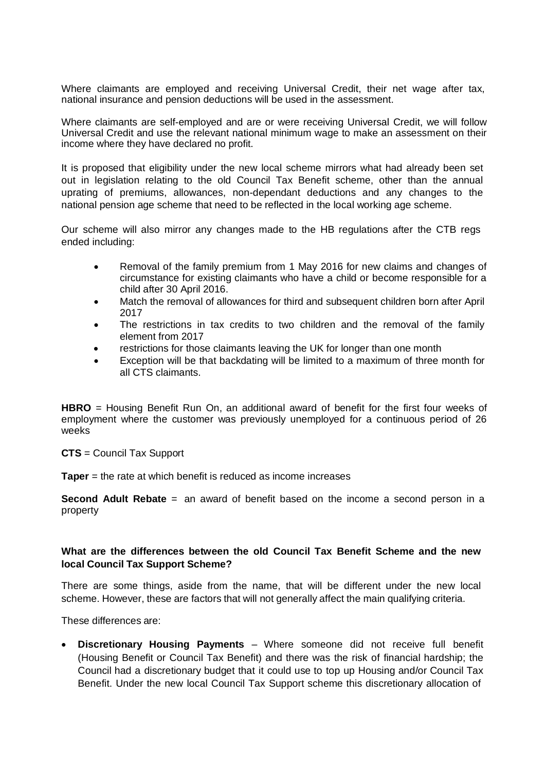Where claimants are employed and receiving Universal Credit, their net wage after tax, national insurance and pension deductions will be used in the assessment.

Where claimants are self-employed and are or were receiving Universal Credit, we will follow Universal Credit and use the relevant national minimum wage to make an assessment on their income where they have declared no profit.

It is proposed that eligibility under the new local scheme mirrors what had already been set out in legislation relating to the old Council Tax Benefit scheme, other than the annual uprating of premiums, allowances, non-dependant deductions and any changes to the national pension age scheme that need to be reflected in the local working age scheme.

Our scheme will also mirror any changes made to the HB regulations after the CTB regs ended including:

- Removal of the family premium from 1 May 2016 for new claims and changes of circumstance for existing claimants who have a child or become responsible for a child after 30 April 2016.
- Match the removal of allowances for third and subsequent children born after April 2017
- The restrictions in tax credits to two children and the removal of the family element from 2017
- restrictions for those claimants leaving the UK for longer than one month
- Exception will be that backdating will be limited to a maximum of three month for all CTS claimants.

**HBRO** = Housing Benefit Run On, an additional award of benefit for the first four weeks of employment where the customer was previously unemployed for a continuous period of 26 weeks

**CTS** = Council Tax Support

**Taper** = the rate at which benefit is reduced as income increases

**Second Adult Rebate** = an award of benefit based on the income a second person in a property

# **What are the differences between the old Council Tax Benefit Scheme and the new local Council Tax Support Scheme?**

There are some things, aside from the name, that will be different under the new local scheme. However, these are factors that will not generally affect the main qualifying criteria.

These differences are:

• **Discretionary Housing Payments** – Where someone did not receive full benefit (Housing Benefit or Council Tax Benefit) and there was the risk of financial hardship; the Council had a discretionary budget that it could use to top up Housing and/or Council Tax Benefit. Under the new local Council Tax Support scheme this discretionary allocation of